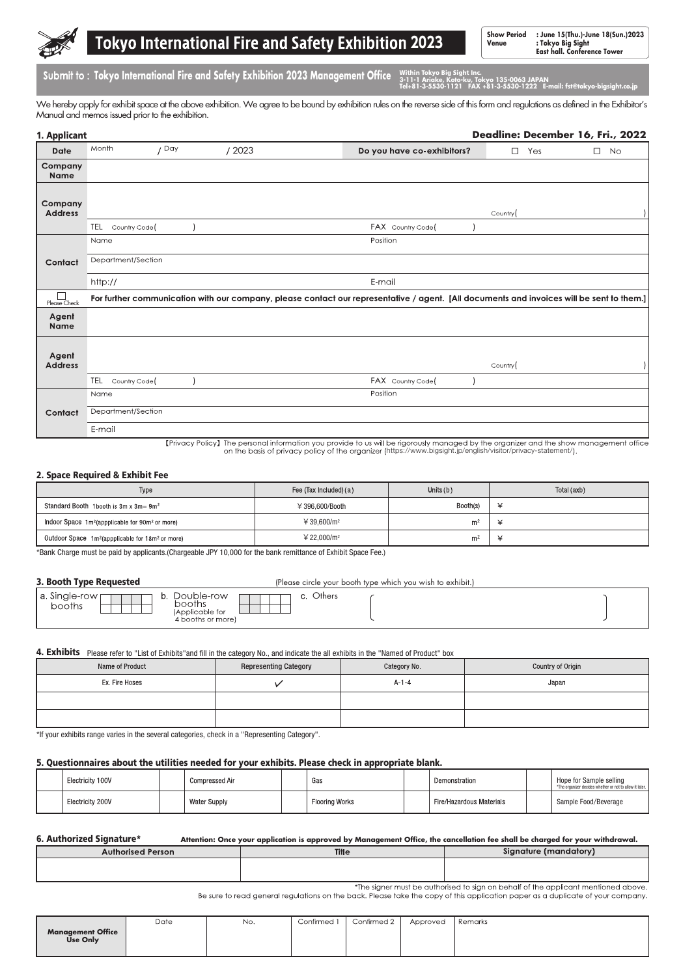

# **Tokyo International Fire and Safety Exhibition 2023**

**Show Period : June 15(Thu.)-June 18(Sun.)2023 Venue : Tokyo Big Sight East hall. Conference Tower**

Submit to: Tokyo International Fire and Safety Exhibition 2023 Management Office Within Tokyo Big Sight Inc

**3-11-1 Ariake, Koto-ku, Tokyo 135-0063 JAPAN Tel+81-3-5530-1121 FAX +81-3-5530-1222 E-mail: fst@tokyo-bigsight.co.jp**

We hereby apply for exhibit space at the above exhibition. We agree to be bound by exhibition rules on the reverse side of this form and regulations as defined in the Exhibitor's Manual and memos issued prior to the exhibition.

| 1. Applicant                  |                            |       |       |                                                                                                                                                     |         |     | Deadline: December 16, Fri., 2022 |
|-------------------------------|----------------------------|-------|-------|-----------------------------------------------------------------------------------------------------------------------------------------------------|---------|-----|-----------------------------------|
| Date                          | Month                      | / Day | /2023 | Do you have co-exhibitors?                                                                                                                          | $\Box$  | Yes | $\Box$<br><b>No</b>               |
| Company<br>Name               |                            |       |       |                                                                                                                                                     |         |     |                                   |
| Company<br><b>Address</b>     | TEL<br>Country Code        |       |       | FAX Country Code(                                                                                                                                   | Country |     |                                   |
| Contact                       | Name<br>Department/Section |       |       | Position                                                                                                                                            |         |     |                                   |
|                               | http://                    |       |       | E-mail<br>For further communication with our company, please contact our representative / agent. [All documents and invoices will be sent to them.] |         |     |                                   |
| Please Check<br>Agent<br>Name |                            |       |       |                                                                                                                                                     |         |     |                                   |
| Agent<br><b>Address</b>       | TEL<br>Country Code        |       |       | FAX Country Code                                                                                                                                    | Country |     |                                   |
| Contact                       | Name<br>Department/Section |       |       | Position                                                                                                                                            |         |     |                                   |
|                               | E-mail                     |       |       |                                                                                                                                                     |         |     |                                   |

[Privacy Policy] The personal information you provide to us will be rigorously managed by the organizer and the show management office on the basis of privacy policy of the organizer (https://www.bigsight.jp/english/visitor/privacy-statement/).

#### 2. Space Required & Exhibit Fee

| Type                                                                     | Fee (Tax Included) (a)   | Units $(b)$    | Total (axb) |  |
|--------------------------------------------------------------------------|--------------------------|----------------|-------------|--|
| Standard Booth 1 booth is $3m \times 3m = 9m^2$                          | $4396.600\sqrt{3}$ Booth | Booth(s)       |             |  |
| Indoor Space 1m <sup>2</sup> (appplicable for 90m <sup>2</sup> or more)  | ¥ 39.600/m <sup>2</sup>  | m <sup>2</sup> |             |  |
| Outdoor Space 1m <sup>2</sup> (appplicable for 18m <sup>2</sup> or more) | ¥ 22.000/ $m^2$          | m <sup>2</sup> |             |  |

\*Bank Charge must be paid by applicants.(Chargeable JPY 10,000 for the bank remittance of Exhibit Space Fee.)

#### 3. Booth Type Requested

(Please circle your booth type which you wish to exhibit.)

#### **4. Exhibits** Please refer to "List of Exhibits"and fill in the category No., and indicate the all exhibits in the "Named of Product" box

| Name of Product | <b>Representing Category</b> | Category No. | Country of Origin |
|-----------------|------------------------------|--------------|-------------------|
| Ex. Fire Hoses  |                              | $A - 1 - 4$  | Japan             |
|                 |                              |              |                   |
|                 |                              |              |                   |

\*If your exhibits range varies in the several categories, check in a "Representing Category".

#### 5. Questionnaires about the utilities needed for your exhibits. Please check in appropriate blank.

| Electricity 100V | Compressed Air      | Gas                   | Demonstration            | Hope for Sample selling<br>*The organizer decides whether or not to allow it later. |
|------------------|---------------------|-----------------------|--------------------------|-------------------------------------------------------------------------------------|
| Electricity 200V | <b>Water Supply</b> | <b>Flooring Works</b> | Fire/Hazardous Materials | Sample Food/Beverage                                                                |

#### 6. Authorized Signature\* **Attention: Once your application is approved by Management Office, the cancellation fee shall be charged for your withdrawal.** Authorised Person  $Ti<sub>1</sub>$ Signature (mandatory)

| . | -----                                                                            |  |  |
|---|----------------------------------------------------------------------------------|--|--|
|   |                                                                                  |  |  |
|   |                                                                                  |  |  |
|   |                                                                                  |  |  |
|   |                                                                                  |  |  |
|   |                                                                                  |  |  |
|   |                                                                                  |  |  |
|   | the signer must be quitected to sign an bobalf of the graplicant mentioned above |  |  |

Be sure to read general regulations on the back. Please take the copy of this application paper as a duplicate of your company.

|                                      | Date | No. | Confirmed 1 | Confirmed 2 | Approved | Remarks |
|--------------------------------------|------|-----|-------------|-------------|----------|---------|
| <b>Management Office</b><br>Use Only |      |     |             |             |          |         |